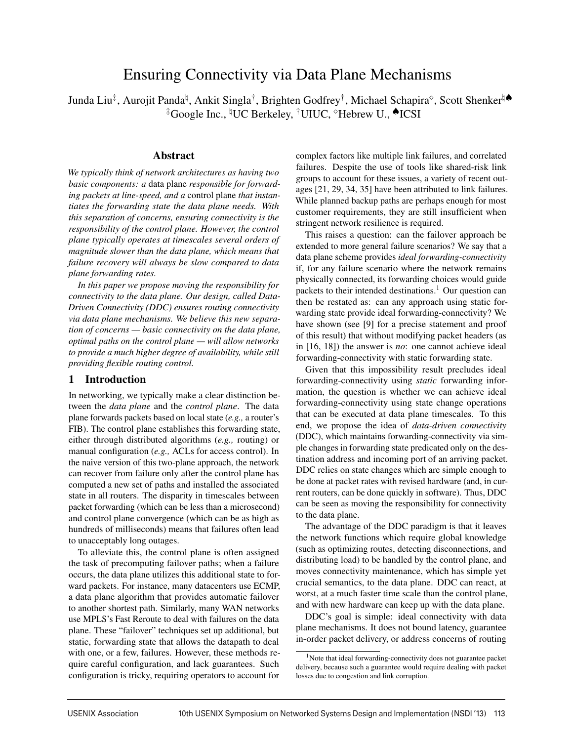# Ensuring Connectivity via Data Plane Mechanisms

Junda Liu‡, Aurojit Panda<sup>‡</sup>, Ankit Singla†, Brighten Godfrey†, Michael Schapira°, Scott Shenker‡♦ ‡Google Inc., UC Berkeley, †UIUC, Hebrew U., ♠ICSI

#### Abstract

*We typically think of network architectures as having two basic components: a* data plane *responsible for forwarding packets at line-speed, and a* control plane *that instantiates the forwarding state the data plane needs. With this separation of concerns, ensuring connectivity is the responsibility of the control plane. However, the control plane typically operates at timescales several orders of magnitude slower than the data plane, which means that failure recovery will always be slow compared to data plane forwarding rates.*

*In this paper we propose moving the responsibility for connectivity to the data plane. Our design, called Data-Driven Connectivity (DDC) ensures routing connectivity via data plane mechanisms. We believe this new separation of concerns — basic connectivity on the data plane, optimal paths on the control plane — will allow networks to provide a much higher degree of availability, while still providing flexible routing control.*

#### 1 Introduction

In networking, we typically make a clear distinction between the *data plane* and the *control plane*. The data plane forwards packets based on local state (*e.g.,* a router's FIB). The control plane establishes this forwarding state, either through distributed algorithms (*e.g.,* routing) or manual configuration (*e.g.,* ACLs for access control). In the naive version of this two-plane approach, the network can recover from failure only after the control plane has computed a new set of paths and installed the associated state in all routers. The disparity in timescales between packet forwarding (which can be less than a microsecond) and control plane convergence (which can be as high as hundreds of milliseconds) means that failures often lead to unacceptably long outages.

To alleviate this, the control plane is often assigned the task of precomputing failover paths; when a failure occurs, the data plane utilizes this additional state to forward packets. For instance, many datacenters use ECMP, a data plane algorithm that provides automatic failover to another shortest path. Similarly, many WAN networks use MPLS's Fast Reroute to deal with failures on the data plane. These "failover" techniques set up additional, but static, forwarding state that allows the datapath to deal with one, or a few, failures. However, these methods require careful configuration, and lack guarantees. Such configuration is tricky, requiring operators to account for

complex factors like multiple link failures, and correlated failures. Despite the use of tools like shared-risk link groups to account for these issues, a variety of recent outages [21, 29, 34, 35] have been attributed to link failures. While planned backup paths are perhaps enough for most customer requirements, they are still insufficient when stringent network resilience is required.

This raises a question: can the failover approach be extended to more general failure scenarios? We say that a data plane scheme provides *ideal forwarding-connectivity* if, for any failure scenario where the network remains physically connected, its forwarding choices would guide packets to their intended destinations.<sup>1</sup> Our question can then be restated as: can any approach using static forwarding state provide ideal forwarding-connectivity? We have shown (see [9] for a precise statement and proof of this result) that without modifying packet headers (as in [16, 18]) the answer is *no*: one cannot achieve ideal forwarding-connectivity with static forwarding state.

Given that this impossibility result precludes ideal forwarding-connectivity using *static* forwarding information, the question is whether we can achieve ideal forwarding-connectivity using state change operations that can be executed at data plane timescales. To this end, we propose the idea of *data-driven connectivity* (DDC), which maintains forwarding-connectivity via simple changes in forwarding state predicated only on the destination address and incoming port of an arriving packet. DDC relies on state changes which are simple enough to be done at packet rates with revised hardware (and, in current routers, can be done quickly in software). Thus, DDC can be seen as moving the responsibility for connectivity to the data plane.

The advantage of the DDC paradigm is that it leaves the network functions which require global knowledge (such as optimizing routes, detecting disconnections, and distributing load) to be handled by the control plane, and moves connectivity maintenance, which has simple yet crucial semantics, to the data plane. DDC can react, at worst, at a much faster time scale than the control plane, and with new hardware can keep up with the data plane.

DDC's goal is simple: ideal connectivity with data plane mechanisms. It does not bound latency, guarantee in-order packet delivery, or address concerns of routing

<sup>1</sup>Note that ideal forwarding-connectivity does not guarantee packet delivery, because such a guarantee would require dealing with packet losses due to congestion and link corruption.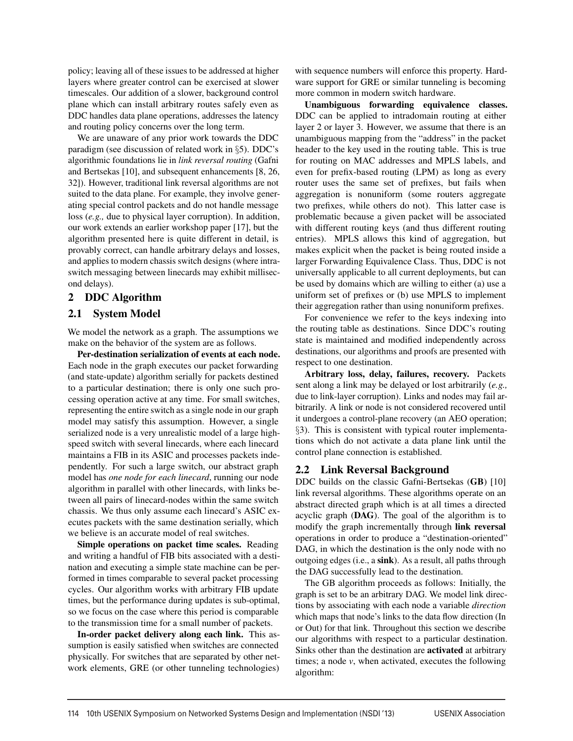policy; leaving all of these issues to be addressed at higher layers where greater control can be exercised at slower timescales. Our addition of a slower, background control plane which can install arbitrary routes safely even as DDC handles data plane operations, addresses the latency and routing policy concerns over the long term.

We are unaware of any prior work towards the DDC paradigm (see discussion of related work in §5). DDC's algorithmic foundations lie in *link reversal routing* (Gafni and Bertsekas [10], and subsequent enhancements [8, 26, 32]). However, traditional link reversal algorithms are not suited to the data plane. For example, they involve generating special control packets and do not handle message loss (*e.g.,* due to physical layer corruption). In addition, our work extends an earlier workshop paper [17], but the algorithm presented here is quite different in detail, is provably correct, can handle arbitrary delays and losses, and applies to modern chassis switch designs (where intraswitch messaging between linecards may exhibit millisecond delays).

## 2 DDC Algorithm

## 2.1 System Model

We model the network as a graph. The assumptions we make on the behavior of the system are as follows.

Per-destination serialization of events at each node. Each node in the graph executes our packet forwarding (and state-update) algorithm serially for packets destined to a particular destination; there is only one such processing operation active at any time. For small switches, representing the entire switch as a single node in our graph model may satisfy this assumption. However, a single serialized node is a very unrealistic model of a large highspeed switch with several linecards, where each linecard maintains a FIB in its ASIC and processes packets independently. For such a large switch, our abstract graph model has *one node for each linecard*, running our node algorithm in parallel with other linecards, with links between all pairs of linecard-nodes within the same switch chassis. We thus only assume each linecard's ASIC executes packets with the same destination serially, which we believe is an accurate model of real switches.

Simple operations on packet time scales. Reading and writing a handful of FIB bits associated with a destination and executing a simple state machine can be performed in times comparable to several packet processing cycles. Our algorithm works with arbitrary FIB update times, but the performance during updates is sub-optimal, so we focus on the case where this period is comparable to the transmission time for a small number of packets.

In-order packet delivery along each link. This assumption is easily satisfied when switches are connected physically. For switches that are separated by other network elements, GRE (or other tunneling technologies)

with sequence numbers will enforce this property. Hardware support for GRE or similar tunneling is becoming more common in modern switch hardware.

Unambiguous forwarding equivalence classes. DDC can be applied to intradomain routing at either layer 2 or layer 3. However, we assume that there is an unambiguous mapping from the "address" in the packet header to the key used in the routing table. This is true for routing on MAC addresses and MPLS labels, and even for prefix-based routing (LPM) as long as every router uses the same set of prefixes, but fails when aggregation is nonuniform (some routers aggregate two prefixes, while others do not). This latter case is problematic because a given packet will be associated with different routing keys (and thus different routing entries). MPLS allows this kind of aggregation, but makes explicit when the packet is being routed inside a larger Forwarding Equivalence Class. Thus, DDC is not universally applicable to all current deployments, but can be used by domains which are willing to either (a) use a uniform set of prefixes or (b) use MPLS to implement their aggregation rather than using nonuniform prefixes.

For convenience we refer to the keys indexing into the routing table as destinations. Since DDC's routing state is maintained and modified independently across destinations, our algorithms and proofs are presented with respect to one destination.

Arbitrary loss, delay, failures, recovery. Packets sent along a link may be delayed or lost arbitrarily (*e.g.,* due to link-layer corruption). Links and nodes may fail arbitrarily. A link or node is not considered recovered until it undergoes a control-plane recovery (an AEO operation; §3). This is consistent with typical router implementations which do not activate a data plane link until the control plane connection is established.

## 2.2 Link Reversal Background

DDC builds on the classic Gafni-Bertsekas (GB) [10] link reversal algorithms. These algorithms operate on an abstract directed graph which is at all times a directed acyclic graph (DAG). The goal of the algorithm is to modify the graph incrementally through link reversal operations in order to produce a "destination-oriented" DAG, in which the destination is the only node with no outgoing edges (i.e., a sink). As a result, all paths through the DAG successfully lead to the destination.

The GB algorithm proceeds as follows: Initially, the graph is set to be an arbitrary DAG. We model link directions by associating with each node a variable *direction* which maps that node's links to the data flow direction (In or Out) for that link. Throughout this section we describe our algorithms with respect to a particular destination. Sinks other than the destination are activated at arbitrary times; a node *v*, when activated, executes the following algorithm: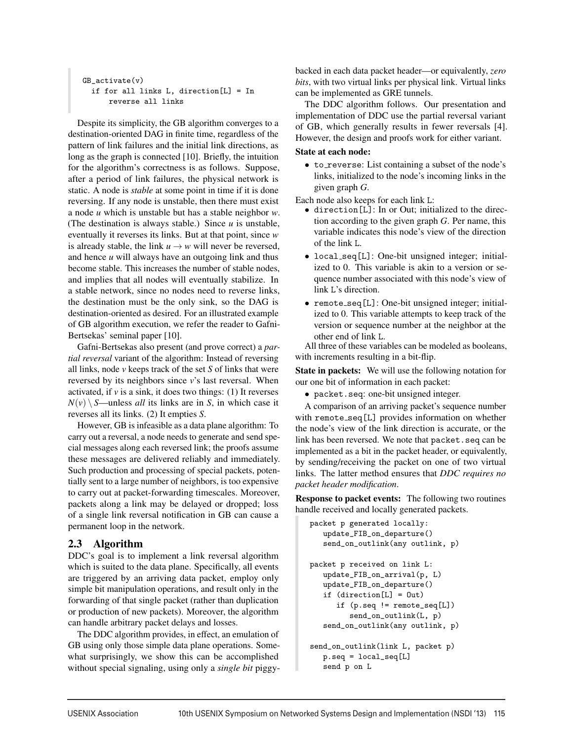```
GB_activate(v)
  if for all links L, direction[L] = In
      reverse all links
```
Despite its simplicity, the GB algorithm converges to a destination-oriented DAG in finite time, regardless of the pattern of link failures and the initial link directions, as long as the graph is connected [10]. Briefly, the intuition for the algorithm's correctness is as follows. Suppose, after a period of link failures, the physical network is static. A node is *stable* at some point in time if it is done reversing. If any node is unstable, then there must exist a node *u* which is unstable but has a stable neighbor *w*. (The destination is always stable.) Since *u* is unstable, eventually it reverses its links. But at that point, since *w* is already stable, the link  $u \rightarrow w$  will never be reversed, and hence *u* will always have an outgoing link and thus become stable. This increases the number of stable nodes, and implies that all nodes will eventually stabilize. In a stable network, since no nodes need to reverse links, the destination must be the only sink, so the DAG is destination-oriented as desired. For an illustrated example of GB algorithm execution, we refer the reader to Gafni-Bertsekas' seminal paper [10].

Gafni-Bertsekas also present (and prove correct) a *partial reversal* variant of the algorithm: Instead of reversing all links, node *v* keeps track of the set *S* of links that were reversed by its neighbors since *v*'s last reversal. When activated, if  $\nu$  is a sink, it does two things: (1) It reverses  $N(v) \ S$ —unless *all* its links are in *S*, in which case it reverses all its links. (2) It empties *S*.

However, GB is infeasible as a data plane algorithm: To carry out a reversal, a node needs to generate and send special messages along each reversed link; the proofs assume these messages are delivered reliably and immediately. Such production and processing of special packets, potentially sent to a large number of neighbors, is too expensive to carry out at packet-forwarding timescales. Moreover, packets along a link may be delayed or dropped; loss of a single link reversal notification in GB can cause a permanent loop in the network.

## 2.3 Algorithm

DDC's goal is to implement a link reversal algorithm which is suited to the data plane. Specifically, all events are triggered by an arriving data packet, employ only simple bit manipulation operations, and result only in the forwarding of that single packet (rather than duplication or production of new packets). Moreover, the algorithm can handle arbitrary packet delays and losses.

The DDC algorithm provides, in effect, an emulation of GB using only those simple data plane operations. Somewhat surprisingly, we show this can be accomplished without special signaling, using only a *single bit* piggybacked in each data packet header—or equivalently, *zero bits*, with two virtual links per physical link. Virtual links can be implemented as GRE tunnels.

The DDC algorithm follows. Our presentation and implementation of DDC use the partial reversal variant of GB, which generally results in fewer reversals [4]. However, the design and proofs work for either variant.

#### State at each node:

• to\_reverse: List containing a subset of the node's links, initialized to the node's incoming links in the given graph *G*.

Each node also keeps for each link L:

- direction[L]: In or Out; initialized to the direction according to the given graph *G*. Per name, this variable indicates this node's view of the direction of the link L.
- local\_seq[L]: One-bit unsigned integer; initialized to 0. This variable is akin to a version or sequence number associated with this node's view of link L's direction.
- remote seq[L]: One-bit unsigned integer; initialized to 0. This variable attempts to keep track of the version or sequence number at the neighbor at the other end of link <sup>L</sup>. All three of these variables can be modeled as booleans,

with increments resulting in a bit-flip.

State in packets: We will use the following notation for our one bit of information in each packet:

• packet.seq: one-bit unsigned integer.

A comparison of an arriving packet's sequence number with remote\_seq[L] provides information on whether the node's view of the link direction is accurate, or the link has been reversed. We note that packet.seq can be implemented as a bit in the packet header, or equivalently, by sending/receiving the packet on one of two virtual links. The latter method ensures that *DDC requires no packet header modification*.

Response to packet events: The following two routines handle received and locally generated packets.

```
packet p generated locally:
   update_FIB_on_departure()
   send_on_outlink(any outlink, p)
packet p received on link L:
   update_FIB_on_arrival(p, L)
   update_FIB_on_departure()
   if (direction[L] = Out)
      if (p.seq != remote_seq[L])
         send_on_outlink(L, p)
   send_on_outlink(any outlink, p)
send_on_outlink(link L, packet p)
   p.seq = local_seq[L]
   send p on L
```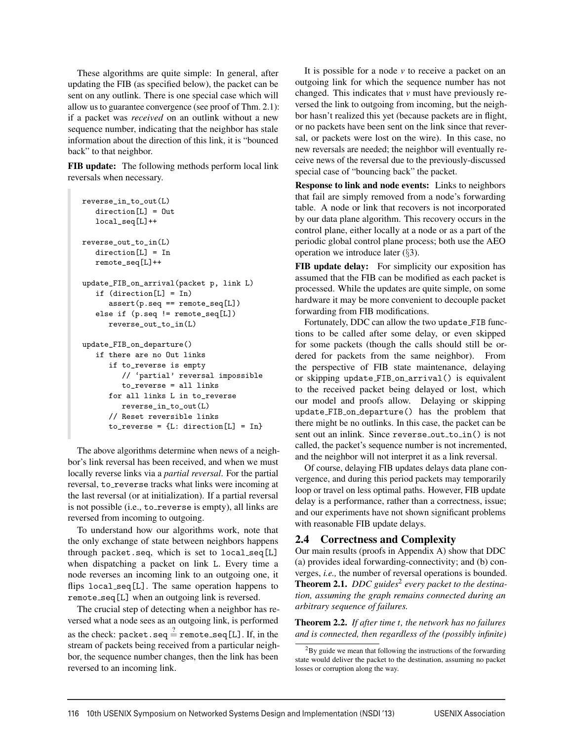These algorithms are quite simple: In general, after updating the FIB (as specified below), the packet can be sent on any outlink. There is one special case which will allow us to guarantee convergence (see proof of Thm. 2.1): if a packet was *received* on an outlink without a new sequence number, indicating that the neighbor has stale information about the direction of this link, it is "bounced back" to that neighbor.

FIB update: The following methods perform local link reversals when necessary.

```
reverse_in_to_out(L)
   direction[L] = Out
   local_seq[L]++
reverse_out_to_in(L)
   direction[L] = In
  remote_seq[L]++
update_FIB_on_arrival(packet p, link L)
   if (direction[L] = In)
      assert(p.\text{seq} == remote\_seq[L])else if (p.seq != remote_seq[L])
      reverse_out_to_in(L)
update_FIB_on_departure()
   if there are no Out links
      if to_reverse is empty
         // 'partial' reversal impossible
         to_reverse = all links
      for all links L in to_reverse
         reverse_in_to_out(L)
      // Reset reversible links
      to_{reverse} = {L: direction[L] = In}
```
The above algorithms determine when news of a neighbor's link reversal has been received, and when we must locally reverse links via a *partial reversal*. For the partial reversal, to\_reverse tracks what links were incoming at the last reversal (or at initialization). If a partial reversal is not possible (i.e., to\_reverse is empty), all links are reversed from incoming to outgoing.

To understand how our algorithms work, note that the only exchange of state between neighbors happens through packet.seq, which is set to local seq[L] when dispatching a packet on link L. Every time a node reverses an incoming link to an outgoing one, it flips local seq[L]. The same operation happens to remote seq[L] when an outgoing link is reversed.

The crucial step of detecting when a neighbor has reversed what a node sees as an outgoing link, is performed as the check: packet.seq  $\stackrel{?}{=}$  remote\_seq[L]. If, in the stream of packets being received from a particular neighbor, the sequence number changes, then the link has been reversed to an incoming link.

It is possible for a node *v* to receive a packet on an outgoing link for which the sequence number has not changed. This indicates that *v* must have previously reversed the link to outgoing from incoming, but the neighbor hasn't realized this yet (because packets are in flight, or no packets have been sent on the link since that reversal, or packets were lost on the wire). In this case, no new reversals are needed; the neighbor will eventually receive news of the reversal due to the previously-discussed special case of "bouncing back" the packet.

Response to link and node events: Links to neighbors that fail are simply removed from a node's forwarding table. A node or link that recovers is not incorporated by our data plane algorithm. This recovery occurs in the control plane, either locally at a node or as a part of the periodic global control plane process; both use the AEO operation we introduce later (§3).

FIB update delay: For simplicity our exposition has assumed that the FIB can be modified as each packet is processed. While the updates are quite simple, on some hardware it may be more convenient to decouple packet forwarding from FIB modifications.

Fortunately, DDC can allow the two update FIB functions to be called after some delay, or even skipped for some packets (though the calls should still be ordered for packets from the same neighbor). From the perspective of FIB state maintenance, delaying or skipping update FIB on arrival() is equivalent to the received packet being delayed or lost, which our model and proofs allow. Delaying or skipping update FIB on departure() has the problem that there might be no outlinks. In this case, the packet can be sent out an inlink. Since reverse\_out\_to\_in() is not called, the packet's sequence number is not incremented, and the neighbor will not interpret it as a link reversal.

Of course, delaying FIB updates delays data plane convergence, and during this period packets may temporarily loop or travel on less optimal paths. However, FIB update delay is a performance, rather than a correctness, issue; and our experiments have not shown significant problems with reasonable FIB update delays.

#### 2.4 Correctness and Complexity

Our main results (proofs in Appendix A) show that DDC (a) provides ideal forwarding-connectivity; and (b) converges, *i.e.,* the number of reversal operations is bounded. Theorem 2.1. *DDC guides*<sup>2</sup> *every packet to the destination, assuming the graph remains connected during an arbitrary sequence of failures.*

Theorem 2.2. *If after time t, the network has no failures and is connected, then regardless of the (possibly infinite)*

 ${}^{2}$ By guide we mean that following the instructions of the forwarding state would deliver the packet to the destination, assuming no packet losses or corruption along the way.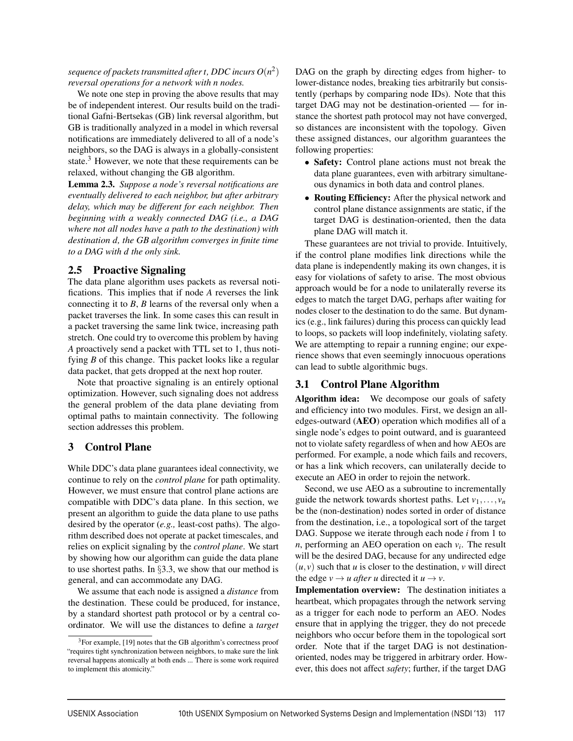*sequence of packets transmitted after t, DDC incurs*  $O(n^2)$ *reversal operations for a network with n nodes.*

We note one step in proving the above results that may be of independent interest. Our results build on the traditional Gafni-Bertsekas (GB) link reversal algorithm, but GB is traditionally analyzed in a model in which reversal notifications are immediately delivered to all of a node's neighbors, so the DAG is always in a globally-consistent state. $3$  However, we note that these requirements can be relaxed, without changing the GB algorithm.

Lemma 2.3. *Suppose a node's reversal notifications are eventually delivered to each neighbor, but after arbitrary delay, which may be different for each neighbor. Then beginning with a weakly connected DAG (i.e., a DAG where not all nodes have a path to the destination) with destination d, the GB algorithm converges in finite time to a DAG with d the only sink.*

## 2.5 Proactive Signaling

The data plane algorithm uses packets as reversal notifications. This implies that if node *A* reverses the link connecting it to *B*, *B* learns of the reversal only when a packet traverses the link. In some cases this can result in a packet traversing the same link twice, increasing path stretch. One could try to overcome this problem by having *A* proactively send a packet with TTL set to 1, thus notifying *B* of this change. This packet looks like a regular data packet, that gets dropped at the next hop router.

Note that proactive signaling is an entirely optional optimization. However, such signaling does not address the general problem of the data plane deviating from optimal paths to maintain connectivity. The following section addresses this problem.

## 3 Control Plane

While DDC's data plane guarantees ideal connectivity, we continue to rely on the *control plane* for path optimality. However, we must ensure that control plane actions are compatible with DDC's data plane. In this section, we present an algorithm to guide the data plane to use paths desired by the operator (*e.g.,* least-cost paths). The algorithm described does not operate at packet timescales, and relies on explicit signaling by the *control plane*. We start by showing how our algorithm can guide the data plane to use shortest paths. In §3.3, we show that our method is general, and can accommodate any DAG.

We assume that each node is assigned a *distance* from the destination. These could be produced, for instance, by a standard shortest path protocol or by a central coordinator. We will use the distances to define a *target* DAG on the graph by directing edges from higher- to lower-distance nodes, breaking ties arbitrarily but consistently (perhaps by comparing node IDs). Note that this target DAG may not be destination-oriented — for instance the shortest path protocol may not have converged, so distances are inconsistent with the topology. Given these assigned distances, our algorithm guarantees the following properties:

- Safety: Control plane actions must not break the data plane guarantees, even with arbitrary simultaneous dynamics in both data and control planes.
- Routing Efficiency: After the physical network and control plane distance assignments are static, if the target DAG is destination-oriented, then the data plane DAG will match it.

These guarantees are not trivial to provide. Intuitively, if the control plane modifies link directions while the data plane is independently making its own changes, it is easy for violations of safety to arise. The most obvious approach would be for a node to unilaterally reverse its edges to match the target DAG, perhaps after waiting for nodes closer to the destination to do the same. But dynamics (e.g., link failures) during this process can quickly lead to loops, so packets will loop indefinitely, violating safety. We are attempting to repair a running engine; our experience shows that even seemingly innocuous operations can lead to subtle algorithmic bugs.

## 3.1 Control Plane Algorithm

Algorithm idea: We decompose our goals of safety and efficiency into two modules. First, we design an alledges-outward (AEO) operation which modifies all of a single node's edges to point outward, and is guaranteed not to violate safety regardless of when and how AEOs are performed. For example, a node which fails and recovers, or has a link which recovers, can unilaterally decide to execute an AEO in order to rejoin the network.

Second, we use AEO as a subroutine to incrementally guide the network towards shortest paths. Let  $v_1, \ldots, v_n$ be the (non-destination) nodes sorted in order of distance from the destination, i.e., a topological sort of the target DAG. Suppose we iterate through each node *i* from 1 to  $n$ , performing an AEO operation on each  $v_i$ . The result will be the desired DAG, because for any undirected edge  $(u, v)$  such that *u* is closer to the destination, *v* will direct the edge  $v \rightarrow u$  *after u* directed it  $u \rightarrow v$ .

Implementation overview: The destination initiates a heartbeat, which propagates through the network serving as a trigger for each node to perform an AEO. Nodes ensure that in applying the trigger, they do not precede neighbors who occur before them in the topological sort order. Note that if the target DAG is not destinationoriented, nodes may be triggered in arbitrary order. However, this does not affect *safety*; further, if the target DAG

<sup>&</sup>lt;sup>3</sup>For example, [19] notes that the GB algorithm's correctness proof "requires tight synchronization between neighbors, to make sure the link reversal happens atomically at both ends ... There is some work required to implement this atomicity."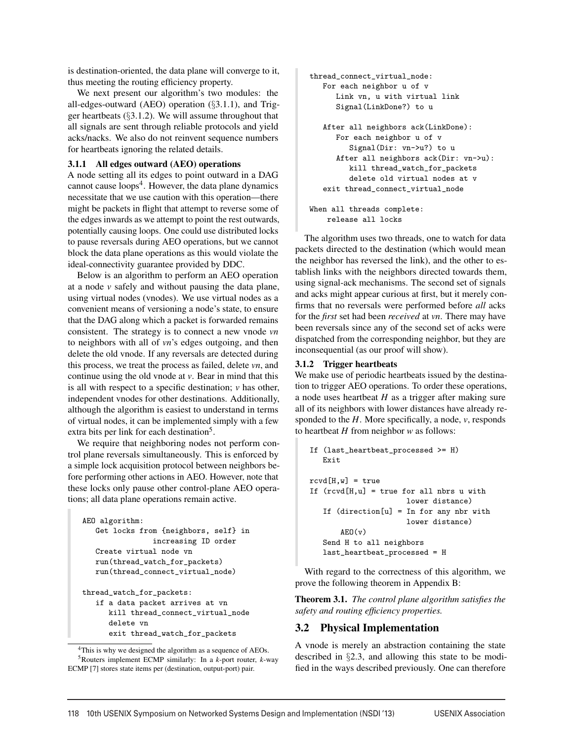is destination-oriented, the data plane will converge to it, thus meeting the routing efficiency property.

We next present our algorithm's two modules: the all-edges-outward (AEO) operation (§3.1.1), and Trigger heartbeats (§3.1.2). We will assume throughout that all signals are sent through reliable protocols and yield acks/nacks. We also do not reinvent sequence numbers for heartbeats ignoring the related details.

#### 3.1.1 All edges outward (AEO) operations

A node setting all its edges to point outward in a DAG cannot cause  $\text{loops}^4$ . However, the data plane dynamics necessitate that we use caution with this operation—there might be packets in flight that attempt to reverse some of the edges inwards as we attempt to point the rest outwards, potentially causing loops. One could use distributed locks to pause reversals during AEO operations, but we cannot block the data plane operations as this would violate the ideal-connectivity guarantee provided by DDC.

Below is an algorithm to perform an AEO operation at a node *v* safely and without pausing the data plane, using virtual nodes (vnodes). We use virtual nodes as a convenient means of versioning a node's state, to ensure that the DAG along which a packet is forwarded remains consistent. The strategy is to connect a new vnode *vn* to neighbors with all of *vn*'s edges outgoing, and then delete the old vnode. If any reversals are detected during this process, we treat the process as failed, delete *vn*, and continue using the old vnode at *v*. Bear in mind that this is all with respect to a specific destination; *v* has other, independent vnodes for other destinations. Additionally, although the algorithm is easiest to understand in terms of virtual nodes, it can be implemented simply with a few extra bits per link for each destination<sup>5</sup>.

We require that neighboring nodes not perform control plane reversals simultaneously. This is enforced by a simple lock acquisition protocol between neighbors before performing other actions in AEO. However, note that these locks only pause other control-plane AEO operations; all data plane operations remain active.

```
AEO algorithm:
   Get locks from {neighbors, self} in
                increasing ID order
   Create virtual node vn
   run(thread_watch_for_packets)
   run(thread_connect_virtual_node)
thread_watch_for_packets:
   if a data packet arrives at vn
      kill thread_connect_virtual_node
      delete vn
      exit thread_watch_for_packets
```

```
<sup>4</sup>This is why we designed the algorithm as a sequence of AEOs.
   5Routers implement ECMP similarly: In a k-port router, k-way
ECMP [7] stores state items per (destination, output-port) pair.
```

```
thread_connect_virtual_node:
   For each neighbor u of v
      Link vn, u with virtual link
      Signal(LinkDone?) to u
   After all neighbors ack(LinkDone):
      For each neighbor u of v
         Signal(Dir: vn->u?) to u
      After all neighbors ack(Dir: vn->u):
         kill thread_watch_for_packets
         delete old virtual nodes at v
   exit thread_connect_virtual_node
When all threads complete:
```
release all locks

The algorithm uses two threads, one to watch for data packets directed to the destination (which would mean the neighbor has reversed the link), and the other to establish links with the neighbors directed towards them, using signal-ack mechanisms. The second set of signals and acks might appear curious at first, but it merely confirms that no reversals were performed before *all* acks for the *first* set had been *received* at *vn*. There may have been reversals since any of the second set of acks were dispatched from the corresponding neighbor, but they are inconsequential (as our proof will show).

#### 3.1.2 Trigger heartbeats

We make use of periodic heartbeats issued by the destination to trigger AEO operations. To order these operations, a node uses heartbeat *H* as a trigger after making sure all of its neighbors with lower distances have already responded to the *H*. More specifically, a node, *v*, responds to heartbeat *H* from neighbor *w* as follows:

```
If (last_heartbeat_processed >= H)
   Exit
rcvd[H,w] = trueIf (rcvd[H,u] = true for all nbrs u withlower distance)
   If (direction[u] = In for any nbr with
                     lower distance)
       AEO(v)Send H to all neighbors
   last_heartbeat_processed = H
```
With regard to the correctness of this algorithm, we prove the following theorem in Appendix B:

Theorem 3.1. *The control plane algorithm satisfies the safety and routing efficiency properties.*

## 3.2 Physical Implementation

A vnode is merely an abstraction containing the state described in §2.3, and allowing this state to be modified in the ways described previously. One can therefore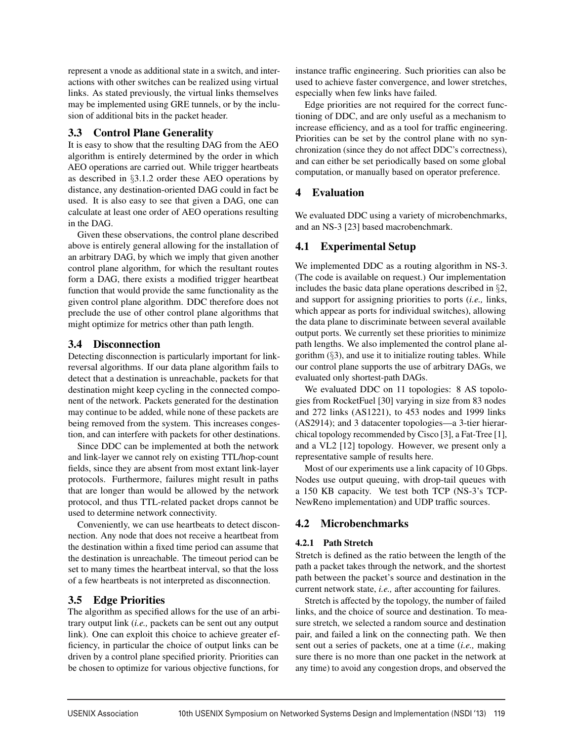represent a vnode as additional state in a switch, and interactions with other switches can be realized using virtual links. As stated previously, the virtual links themselves may be implemented using GRE tunnels, or by the inclusion of additional bits in the packet header.

## 3.3 Control Plane Generality

It is easy to show that the resulting DAG from the AEO algorithm is entirely determined by the order in which AEO operations are carried out. While trigger heartbeats as described in §3.1.2 order these AEO operations by distance, any destination-oriented DAG could in fact be used. It is also easy to see that given a DAG, one can calculate at least one order of AEO operations resulting in the DAG.

Given these observations, the control plane described above is entirely general allowing for the installation of an arbitrary DAG, by which we imply that given another control plane algorithm, for which the resultant routes form a DAG, there exists a modified trigger heartbeat function that would provide the same functionality as the given control plane algorithm. DDC therefore does not preclude the use of other control plane algorithms that might optimize for metrics other than path length.

## 3.4 Disconnection

Detecting disconnection is particularly important for linkreversal algorithms. If our data plane algorithm fails to detect that a destination is unreachable, packets for that destination might keep cycling in the connected component of the network. Packets generated for the destination may continue to be added, while none of these packets are being removed from the system. This increases congestion, and can interfere with packets for other destinations.

Since DDC can be implemented at both the network and link-layer we cannot rely on existing TTL/hop-count fields, since they are absent from most extant link-layer protocols. Furthermore, failures might result in paths that are longer than would be allowed by the network protocol, and thus TTL-related packet drops cannot be used to determine network connectivity.

Conveniently, we can use heartbeats to detect disconnection. Any node that does not receive a heartbeat from the destination within a fixed time period can assume that the destination is unreachable. The timeout period can be set to many times the heartbeat interval, so that the loss of a few heartbeats is not interpreted as disconnection.

## 3.5 Edge Priorities

The algorithm as specified allows for the use of an arbitrary output link (*i.e.,* packets can be sent out any output link). One can exploit this choice to achieve greater efficiency, in particular the choice of output links can be driven by a control plane specified priority. Priorities can be chosen to optimize for various objective functions, for

instance traffic engineering. Such priorities can also be used to achieve faster convergence, and lower stretches, especially when few links have failed.

Edge priorities are not required for the correct functioning of DDC, and are only useful as a mechanism to increase efficiency, and as a tool for traffic engineering. Priorities can be set by the control plane with no synchronization (since they do not affect DDC's correctness), and can either be set periodically based on some global computation, or manually based on operator preference.

## 4 Evaluation

We evaluated DDC using a variety of microbenchmarks, and an NS-3 [23] based macrobenchmark.

## 4.1 Experimental Setup

We implemented DDC as a routing algorithm in NS-3. (The code is available on request.) Our implementation includes the basic data plane operations described in §2, and support for assigning priorities to ports (*i.e.,* links, which appear as ports for individual switches), allowing the data plane to discriminate between several available output ports. We currently set these priorities to minimize path lengths. We also implemented the control plane algorithm  $(\S 3)$ , and use it to initialize routing tables. While our control plane supports the use of arbitrary DAGs, we evaluated only shortest-path DAGs.

We evaluated DDC on 11 topologies: 8 AS topologies from RocketFuel [30] varying in size from 83 nodes and 272 links (AS1221), to 453 nodes and 1999 links (AS2914); and 3 datacenter topologies—a 3-tier hierarchical topology recommended by Cisco [3], a Fat-Tree [1], and a VL2 [12] topology. However, we present only a representative sample of results here.

Most of our experiments use a link capacity of 10 Gbps. Nodes use output queuing, with drop-tail queues with a 150 KB capacity. We test both TCP (NS-3's TCP-NewReno implementation) and UDP traffic sources.

## 4.2 Microbenchmarks

## 4.2.1 Path Stretch

Stretch is defined as the ratio between the length of the path a packet takes through the network, and the shortest path between the packet's source and destination in the current network state, *i.e.,* after accounting for failures.

Stretch is affected by the topology, the number of failed links, and the choice of source and destination. To measure stretch, we selected a random source and destination pair, and failed a link on the connecting path. We then sent out a series of packets, one at a time (*i.e.,* making sure there is no more than one packet in the network at any time) to avoid any congestion drops, and observed the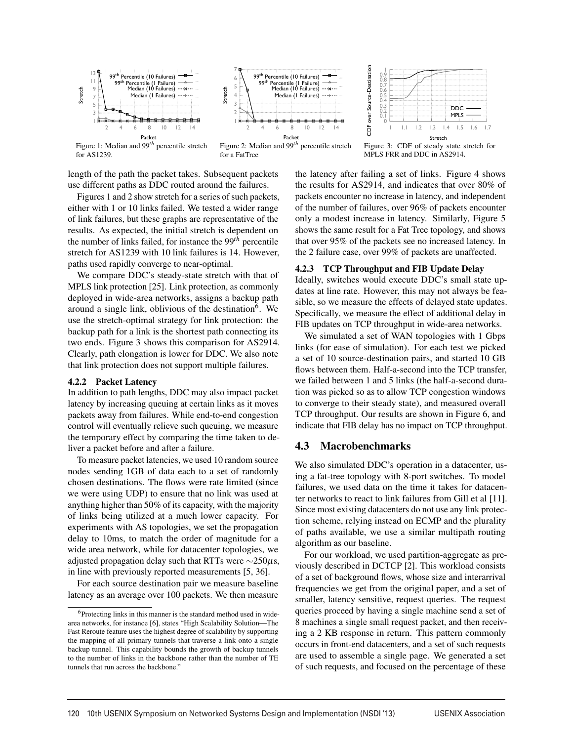



Figure 1: Median and 99*th* percentile stretch for AS1239.

Figure 2: Median and 99*th* percentile stretch for a FatTree

length of the path the packet takes. Subsequent packets use different paths as DDC routed around the failures.

Figures 1 and 2 show stretch for a series of such packets, either with 1 or 10 links failed. We tested a wider range of link failures, but these graphs are representative of the results. As expected, the initial stretch is dependent on the number of links failed, for instance the 99*th* percentile stretch for AS1239 with 10 link failures is 14. However, paths used rapidly converge to near-optimal.

We compare DDC's steady-state stretch with that of MPLS link protection [25]. Link protection, as commonly deployed in wide-area networks, assigns a backup path around a single link, oblivious of the destination $6$ . We use the stretch-optimal strategy for link protection: the backup path for a link is the shortest path connecting its two ends. Figure 3 shows this comparison for AS2914. Clearly, path elongation is lower for DDC. We also note that link protection does not support multiple failures.

#### 4.2.2 Packet Latency

In addition to path lengths, DDC may also impact packet latency by increasing queuing at certain links as it moves packets away from failures. While end-to-end congestion control will eventually relieve such queuing, we measure the temporary effect by comparing the time taken to deliver a packet before and after a failure.

To measure packet latencies, we used 10 random source nodes sending 1GB of data each to a set of randomly chosen destinations. The flows were rate limited (since we were using UDP) to ensure that no link was used at anything higher than 50% of its capacity, with the majority of links being utilized at a much lower capacity. For experiments with AS topologies, we set the propagation delay to 10ms, to match the order of magnitude for a wide area network, while for datacenter topologies, we adjusted propagation delay such that RTTs were ∼250µs, in line with previously reported measurements [5, 36].

For each source destination pair we measure baseline latency as an average over 100 packets. We then measure



Figure 3: CDF of steady state stretch for MPLS FRR and DDC in AS2914.

the latency after failing a set of links. Figure 4 shows the results for AS2914, and indicates that over 80% of packets encounter no increase in latency, and independent of the number of failures, over 96% of packets encounter only a modest increase in latency. Similarly, Figure 5 shows the same result for a Fat Tree topology, and shows that over 95% of the packets see no increased latency. In the 2 failure case, over 99% of packets are unaffected.

#### 4.2.3 TCP Throughput and FIB Update Delay

Ideally, switches would execute DDC's small state updates at line rate. However, this may not always be feasible, so we measure the effects of delayed state updates. Specifically, we measure the effect of additional delay in FIB updates on TCP throughput in wide-area networks.

We simulated a set of WAN topologies with 1 Gbps links (for ease of simulation). For each test we picked a set of 10 source-destination pairs, and started 10 GB flows between them. Half-a-second into the TCP transfer, we failed between 1 and 5 links (the half-a-second duration was picked so as to allow TCP congestion windows to converge to their steady state), and measured overall TCP throughput. Our results are shown in Figure 6, and indicate that FIB delay has no impact on TCP throughput.

#### 4.3 Macrobenchmarks

We also simulated DDC's operation in a datacenter, using a fat-tree topology with 8-port switches. To model failures, we used data on the time it takes for datacenter networks to react to link failures from Gill et al [11]. Since most existing datacenters do not use any link protection scheme, relying instead on ECMP and the plurality of paths available, we use a similar multipath routing algorithm as our baseline.

For our workload, we used partition-aggregate as previously described in DCTCP [2]. This workload consists of a set of background flows, whose size and interarrival frequencies we get from the original paper, and a set of smaller, latency sensitive, request queries. The request queries proceed by having a single machine send a set of 8 machines a single small request packet, and then receiving a 2 KB response in return. This pattern commonly occurs in front-end datacenters, and a set of such requests are used to assemble a single page. We generated a set of such requests, and focused on the percentage of these

<sup>6</sup>Protecting links in this manner is the standard method used in widearea networks, for instance [6], states "High Scalability Solution—The Fast Reroute feature uses the highest degree of scalability by supporting the mapping of all primary tunnels that traverse a link onto a single backup tunnel. This capability bounds the growth of backup tunnels to the number of links in the backbone rather than the number of TE tunnels that run across the backbone."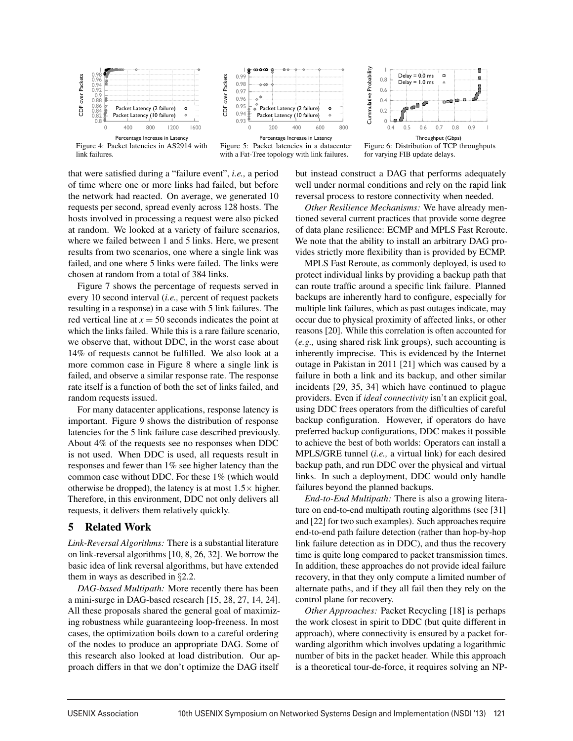

Figure 4: Packet latencies in AS2914 with link failures.



Figure 5: Packet latencies in a datacenter with a Fat-Tree topology with link failures.



Figure 6: Distribution of TCP throughputs for varying FIB update delays.

that were satisfied during a "failure event", *i.e.,* a period of time where one or more links had failed, but before the network had reacted. On average, we generated 10 requests per second, spread evenly across 128 hosts. The hosts involved in processing a request were also picked at random. We looked at a variety of failure scenarios, where we failed between 1 and 5 links. Here, we present results from two scenarios, one where a single link was failed, and one where 5 links were failed. The links were chosen at random from a total of 384 links.

Figure 7 shows the percentage of requests served in every 10 second interval (*i.e.,* percent of request packets resulting in a response) in a case with 5 link failures. The red vertical line at  $x = 50$  seconds indicates the point at which the links failed. While this is a rare failure scenario, we observe that, without DDC, in the worst case about 14% of requests cannot be fulfilled. We also look at a more common case in Figure 8 where a single link is failed, and observe a similar response rate. The response rate itself is a function of both the set of links failed, and random requests issued.

For many datacenter applications, response latency is important. Figure 9 shows the distribution of response latencies for the 5 link failure case described previously. About 4% of the requests see no responses when DDC is not used. When DDC is used, all requests result in responses and fewer than 1% see higher latency than the common case without DDC. For these 1% (which would otherwise be dropped), the latency is at most  $1.5\times$  higher. Therefore, in this environment, DDC not only delivers all requests, it delivers them relatively quickly.

#### 5 Related Work

*Link-Reversal Algorithms:* There is a substantial literature on link-reversal algorithms [10, 8, 26, 32]. We borrow the basic idea of link reversal algorithms, but have extended them in ways as described in §2.2.

*DAG-based Multipath:* More recently there has been a mini-surge in DAG-based research [15, 28, 27, 14, 24]. All these proposals shared the general goal of maximizing robustness while guaranteeing loop-freeness. In most cases, the optimization boils down to a careful ordering of the nodes to produce an appropriate DAG. Some of this research also looked at load distribution. Our approach differs in that we don't optimize the DAG itself

but instead construct a DAG that performs adequately well under normal conditions and rely on the rapid link reversal process to restore connectivity when needed.

*Other Resilience Mechanisms:* We have already mentioned several current practices that provide some degree of data plane resilience: ECMP and MPLS Fast Reroute. We note that the ability to install an arbitrary DAG provides strictly more flexibility than is provided by ECMP.

MPLS Fast Reroute, as commonly deployed, is used to protect individual links by providing a backup path that can route traffic around a specific link failure. Planned backups are inherently hard to configure, especially for multiple link failures, which as past outages indicate, may occur due to physical proximity of affected links, or other reasons [20]. While this correlation is often accounted for (*e.g.,* using shared risk link groups), such accounting is inherently imprecise. This is evidenced by the Internet outage in Pakistan in 2011 [21] which was caused by a failure in both a link and its backup, and other similar incidents [29, 35, 34] which have continued to plague providers. Even if *ideal connectivity* isn't an explicit goal, using DDC frees operators from the difficulties of careful backup configuration. However, if operators do have preferred backup configurations, DDC makes it possible to achieve the best of both worlds: Operators can install a MPLS/GRE tunnel (*i.e.,* a virtual link) for each desired backup path, and run DDC over the physical and virtual links. In such a deployment, DDC would only handle failures beyond the planned backups.

*End-to-End Multipath:* There is also a growing literature on end-to-end multipath routing algorithms (see [31] and [22] for two such examples). Such approaches require end-to-end path failure detection (rather than hop-by-hop link failure detection as in DDC), and thus the recovery time is quite long compared to packet transmission times. In addition, these approaches do not provide ideal failure recovery, in that they only compute a limited number of alternate paths, and if they all fail then they rely on the control plane for recovery.

*Other Approaches:* Packet Recycling [18] is perhaps the work closest in spirit to DDC (but quite different in approach), where connectivity is ensured by a packet forwarding algorithm which involves updating a logarithmic number of bits in the packet header. While this approach is a theoretical tour-de-force, it requires solving an NP-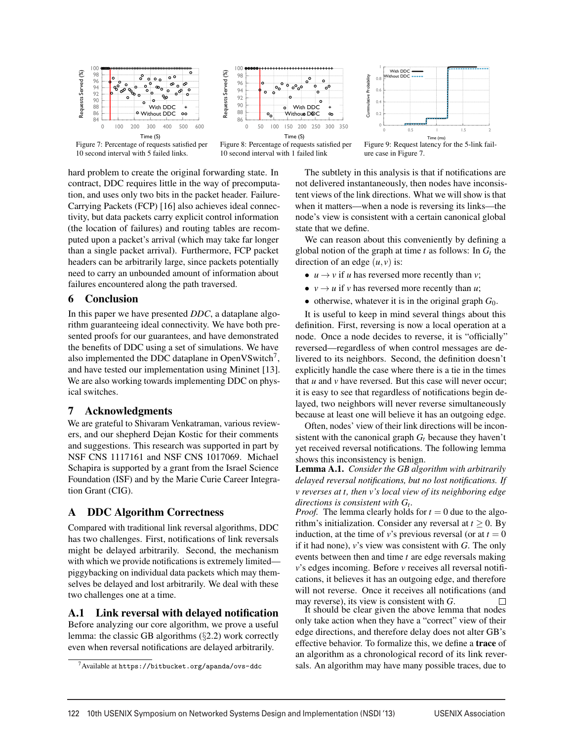

Figure 7: Percentage of requests satisfied per 10 second interval with 5 failed links.



Figure 8: Percentage of requests satisfied per 10 second interval with 1 failed link



Figure 9: Request latency for the 5-link failure case in Figure 7.

hard problem to create the original forwarding state. In contract, DDC requires little in the way of precomputation, and uses only two bits in the packet header. Failure-Carrying Packets (FCP) [16] also achieves ideal connectivity, but data packets carry explicit control information (the location of failures) and routing tables are recomputed upon a packet's arrival (which may take far longer than a single packet arrival). Furthermore, FCP packet headers can be arbitrarily large, since packets potentially need to carry an unbounded amount of information about failures encountered along the path traversed.

## 6 Conclusion

In this paper we have presented *DDC*, a dataplane algorithm guaranteeing ideal connectivity. We have both presented proofs for our guarantees, and have demonstrated the benefits of DDC using a set of simulations. We have also implemented the DDC dataplane in OpenVSwitch<sup>7</sup>, and have tested our implementation using Mininet [13]. We are also working towards implementing DDC on physical switches.

## 7 Acknowledgments

We are grateful to Shivaram Venkatraman, various reviewers, and our shepherd Dejan Kostic for their comments and suggestions. This research was supported in part by NSF CNS 1117161 and NSF CNS 1017069. Michael Schapira is supported by a grant from the Israel Science Foundation (ISF) and by the Marie Curie Career Integration Grant (CIG).

## A DDC Algorithm Correctness

Compared with traditional link reversal algorithms, DDC has two challenges. First, notifications of link reversals might be delayed arbitrarily. Second, the mechanism with which we provide notifications is extremely limited piggybacking on individual data packets which may themselves be delayed and lost arbitrarily. We deal with these two challenges one at a time.

## A.1 Link reversal with delayed notification

Before analyzing our core algorithm, we prove a useful lemma: the classic GB algorithms  $(\S2.2)$  work correctly even when reversal notifications are delayed arbitrarily.

The subtlety in this analysis is that if notifications are not delivered instantaneously, then nodes have inconsistent views of the link directions. What we will show is that when it matters—when a node is reversing its links—the node's view is consistent with a certain canonical global state that we define.

We can reason about this conveniently by defining a global notion of the graph at time  $t$  as follows: In  $G_t$  the direction of an edge  $(u, v)$  is:

- $u \rightarrow v$  if *u* has reversed more recently than *v*;
- $v \rightarrow u$  if *v* has reversed more recently than *u*;
- otherwise, whatever it is in the original graph  $G_0$ .

It is useful to keep in mind several things about this definition. First, reversing is now a local operation at a node. Once a node decides to reverse, it is "officially" reversed—regardless of when control messages are delivered to its neighbors. Second, the definition doesn't explicitly handle the case where there is a tie in the times that *u* and *v* have reversed. But this case will never occur; it is easy to see that regardless of notifications begin delayed, two neighbors will never reverse simultaneously because at least one will believe it has an outgoing edge.

Often, nodes' view of their link directions will be inconsistent with the canonical graph  $G_t$  because they haven't yet received reversal notifications. The following lemma shows this inconsistency is benign.

Lemma A.1. *Consider the GB algorithm with arbitrarily delayed reversal notifications, but no lost notifications. If v reverses at t, then v's local view of its neighboring edge*

*directions is consistent with*  $G_t$ .<br>*Proof.* The lemma clearly holds for  $t = 0$  due to the algorithm's initialization. Consider any reversal at  $t \geq 0$ . By induction, at the time of *v*'s previous reversal (or at  $t = 0$ ) if it had none), *v*'s view was consistent with *G*. The only events between then and time *t* are edge reversals making *v*'s edges incoming. Before *v* receives all reversal notifications, it believes it has an outgoing edge, and therefore will not reverse. Once it receives all notifications (and

may reverse), its view is consistent with *G*.  $\Box$  It should be clear given the above lemma that nodes only take action when they have a "correct" view of their edge directions, and therefore delay does not alter GB's effective behavior. To formalize this, we define a trace of an algorithm as a chronological record of its link reversals. An algorithm may have many possible traces, due to

 $7$ Available at https://bitbucket.org/apanda/ovs-ddc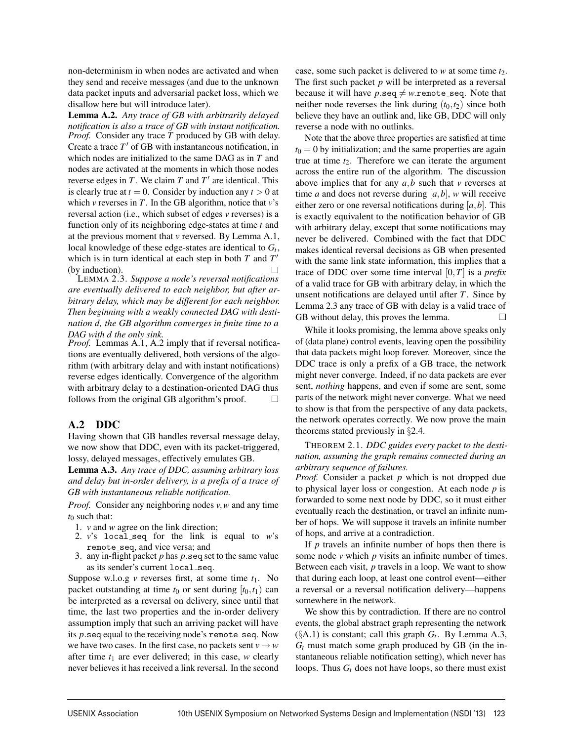non-determinism in when nodes are activated and when they send and receive messages (and due to the unknown data packet inputs and adversarial packet loss, which we disallow here but will introduce later).

Lemma A.2. *Any trace of GB with arbitrarily delayed notification is also a trace of GB with instant notification. Proof.* Consider any trace *T* produced by GB with delay. Create a trace  $T'$  of GB with instantaneous notification, in which nodes are initialized to the same DAG as in *T* and nodes are activated at the moments in which those nodes reverse edges in  $T$ . We claim  $T$  and  $T'$  are identical. This is clearly true at  $t = 0$ . Consider by induction any  $t > 0$  at which *v* reverses in *T*. In the GB algorithm, notice that *v*'s reversal action (i.e., which subset of edges *v* reverses) is a function only of its neighboring edge-states at time *t* and at the previous moment that *v* reversed. By Lemma A.1, local knowledge of these edge-states are identical to  $G_t$ , which is in turn identical at each step in both *T* and *T* (by induction).  $\Box$ 

LEMMA 2.3. *Suppose a node's reversal notifications are eventually delivered to each neighbor, but after arbitrary delay, which may be different for each neighbor. Then beginning with a weakly connected DAG with destination d, the GB algorithm converges in finite time to a DAG with d the only sink.*

*Proof.* Lemmas A.1, A.2 imply that if reversal notifications are eventually delivered, both versions of the algorithm (with arbitrary delay and with instant notifications) reverse edges identically. Convergence of the algorithm with arbitrary delay to a destination-oriented DAG thus follows from the original GB algorithm's proof.  $\Box$ 

## A.2 DDC

Having shown that GB handles reversal message delay, we now show that DDC, even with its packet-triggered, lossy, delayed messages, effectively emulates GB.

Lemma A.3. *Any trace of DDC, assuming arbitrary loss and delay but in-order delivery, is a prefix of a trace of GB with instantaneous reliable notification.*

*Proof.* Consider any neighboring nodes *v*,*w* and any time t<sub>0</sub> such that:

- 1. *v* and *w* agree on the link direction;
- 2.  $v$ 's local seq for the link is equal to  $w$ 's remote\_seq, and vice versa; and
- 3. any in-flight packet *p* has *p*.seq set to the same value as its sender's current local seq.

Suppose w.l.o.g *v* reverses first, at some time  $t_1$ . No packet outstanding at time  $t_0$  or sent during  $[t_0, t_1)$  can be interpreted as a reversal on delivery, since until that time, the last two properties and the in-order delivery assumption imply that such an arriving packet will have its *p*.seq equal to the receiving node's remote\_seq. Now we have two cases. In the first case, no packets sent  $v \rightarrow w$ after time *t*<sup>1</sup> are ever delivered; in this case, *w* clearly never believes it has received a link reversal. In the second

case, some such packet is delivered to *w* at some time *t*2. The first such packet *p* will be interpreted as a reversal because it will have  $p.\texttt{seq} \neq w.\texttt{remote\_seq}$ . Note that neither node reverses the link during  $(t_0, t_2)$  since both believe they have an outlink and, like GB, DDC will only reverse a node with no outlinks.

Note that the above three properties are satisfied at time  $t_0 = 0$  by initialization; and the same properties are again true at time  $t_2$ . Therefore we can iterate the argument across the entire run of the algorithm. The discussion above implies that for any *a*,*b* such that *v* reverses at time *a* and does not reverse during  $[a, b]$ , *w* will receive either zero or one reversal notifications during  $[a, b]$ . This is exactly equivalent to the notification behavior of GB with arbitrary delay, except that some notifications may never be delivered. Combined with the fact that DDC makes identical reversal decisions as GB when presented with the same link state information, this implies that a trace of DDC over some time interval [0,*T*] is a *prefix* of a valid trace for GB with arbitrary delay, in which the unsent notifications are delayed until after *T*. Since by Lemma 2.3 any trace of GB with delay is a valid trace of GB without delay, this proves the lemma.  $\Box$ 

While it looks promising, the lemma above speaks only of (data plane) control events, leaving open the possibility that data packets might loop forever. Moreover, since the DDC trace is only a prefix of a GB trace, the network might never converge. Indeed, if no data packets are ever sent, *nothing* happens, and even if some are sent, some parts of the network might never converge. What we need to show is that from the perspective of any data packets, the network operates correctly. We now prove the main theorems stated previously in §2.4.

THEOREM 2.1. *DDC guides every packet to the destination, assuming the graph remains connected during an arbitrary sequence of failures.*

*Proof.* Consider a packet *p* which is not dropped due to physical layer loss or congestion. At each node *p* is forwarded to some next node by DDC, so it must either eventually reach the destination, or travel an infinite number of hops. We will suppose it travels an infinite number of hops, and arrive at a contradiction.

If *p* travels an infinite number of hops then there is some node *v* which *p* visits an infinite number of times. Between each visit, *p* travels in a loop. We want to show that during each loop, at least one control event—either a reversal or a reversal notification delivery—happens somewhere in the network.

We show this by contradiction. If there are no control events, the global abstract graph representing the network  $(\S A.1)$  is constant; call this graph  $G_t$ . By Lemma A.3,  $G_t$  must match some graph produced by GB (in the instantaneous reliable notification setting), which never has loops. Thus  $G_t$  does not have loops, so there must exist

 $\overline{1}$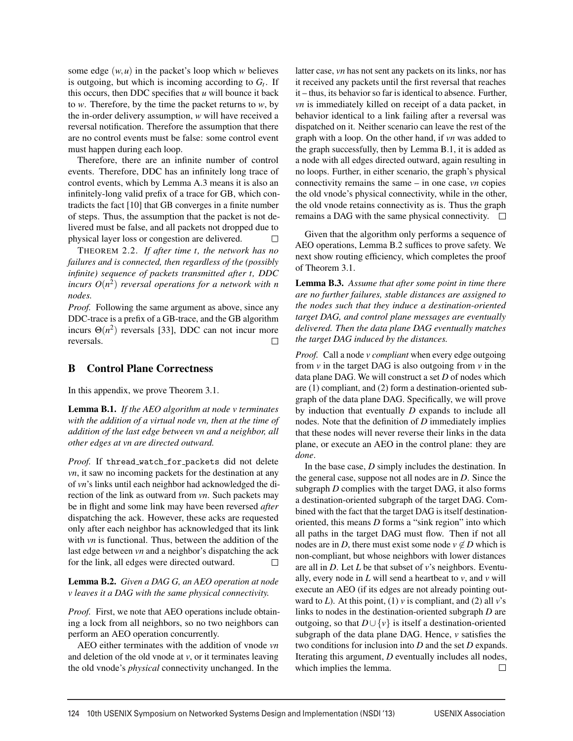some edge  $(w, u)$  in the packet's loop which *w* believes is outgoing, but which is incoming according to  $G_t$ . If this occurs, then DDC specifies that  $u$  will bounce it back to *w*. Therefore, by the time the packet returns to *w*, by the in-order delivery assumption, *w* will have received a reversal notification. Therefore the assumption that there are no control events must be false: some control event must happen during each loop.

Therefore, there are an infinite number of control events. Therefore, DDC has an infinitely long trace of control events, which by Lemma A.3 means it is also an infinitely-long valid prefix of a trace for GB, which contradicts the fact [10] that GB converges in a finite number of steps. Thus, the assumption that the packet is not delivered must be false, and all packets not dropped due to physical layer loss or congestion are delivered.  $\Box$ 

THEOREM 2.2. *If after time t, the network has no failures and is connected, then regardless of the (possibly infinite) sequence of packets transmitted after t, DDC incurs*  $O(n^2)$  *reversal operations for a network with n nodes.*

*Proof.* Following the same argument as above, since any DDC-trace is a prefix of a GB-trace, and the GB algorithm incurs  $\Theta(n^2)$  reversals [33], DDC can not incur more reversals.  $\Box$ 

#### B Control Plane Correctness

In this appendix, we prove Theorem 3.1.

Lemma B.1. *If the AEO algorithm at node v terminates with the addition of a virtual node vn, then at the time of addition of the last edge between vn and a neighbor, all other edges at vn are directed outward.*

Proof. If thread\_watch\_for\_packets did not delete *vn*, it saw no incoming packets for the destination at any of *vn*'s links until each neighbor had acknowledged the direction of the link as outward from *vn*. Such packets may be in flight and some link may have been reversed *after* dispatching the ack. However, these acks are requested only after each neighbor has acknowledged that its link with *vn* is functional. Thus, between the addition of the last edge between *vn* and a neighbor's dispatching the ack for the link, all edges were directed outward. П

Lemma B.2. *Given a DAG G, an AEO operation at node v leaves it a DAG with the same physical connectivity.*

*Proof.* First, we note that AEO operations include obtaining a lock from all neighbors, so no two neighbors can perform an AEO operation concurrently.

AEO either terminates with the addition of vnode *vn* and deletion of the old vnode at *v*, or it terminates leaving the old vnode's *physical* connectivity unchanged. In the latter case, *vn* has not sent any packets on its links, nor has it received any packets until the first reversal that reaches it – thus, its behavior so far is identical to absence. Further, *vn* is immediately killed on receipt of a data packet, in behavior identical to a link failing after a reversal was dispatched on it. Neither scenario can leave the rest of the graph with a loop. On the other hand, if *vn* was added to the graph successfully, then by Lemma B.1, it is added as a node with all edges directed outward, again resulting in no loops. Further, in either scenario, the graph's physical connectivity remains the same – in one case, *vn* copies the old vnode's physical connectivity, while in the other, the old vnode retains connectivity as is. Thus the graph remains a DAG with the same physical connectivity.  $\Box$ 

Given that the algorithm only performs a sequence of AEO operations, Lemma B.2 suffices to prove safety. We next show routing efficiency, which completes the proof of Theorem 3.1.

Lemma B.3. *Assume that after some point in time there are no further failures, stable distances are assigned to the nodes such that they induce a destination-oriented target DAG, and control plane messages are eventually delivered. Then the data plane DAG eventually matches the target DAG induced by the distances.*

*Proof.* Call a node *v compliant* when every edge outgoing from  $v$  in the target DAG is also outgoing from  $v$  in the data plane DAG. We will construct a set *D* of nodes which are (1) compliant, and (2) form a destination-oriented subgraph of the data plane DAG. Specifically, we will prove by induction that eventually *D* expands to include all nodes. Note that the definition of *D* immediately implies that these nodes will never reverse their links in the data plane, or execute an AEO in the control plane: they are *done*.

In the base case, *D* simply includes the destination. In the general case, suppose not all nodes are in *D*. Since the subgraph *D* complies with the target DAG, it also forms a destination-oriented subgraph of the target DAG. Combined with the fact that the target DAG is itself destinationoriented, this means *D* forms a "sink region" into which all paths in the target DAG must flow. Then if not all nodes are in *D*, there must exist some node  $v \notin D$  which is non-compliant, but whose neighbors with lower distances are all in *D*. Let *L* be that subset of *v*'s neighbors. Eventually, every node in *L* will send a heartbeat to *v*, and *v* will execute an AEO (if its edges are not already pointing outward to  $L$ ). At this point, (1)  $v$  is compliant, and (2) all  $v$ 's links to nodes in the destination-oriented subgraph *D* are outgoing, so that *D*∪ {*v*} is itself a destination-oriented subgraph of the data plane DAG. Hence, *v* satisfies the two conditions for inclusion into *D* and the set *D* expands. Iterating this argument, *D* eventually includes all nodes, which implies the lemma.  $\Box$ 

 $\overline{a}$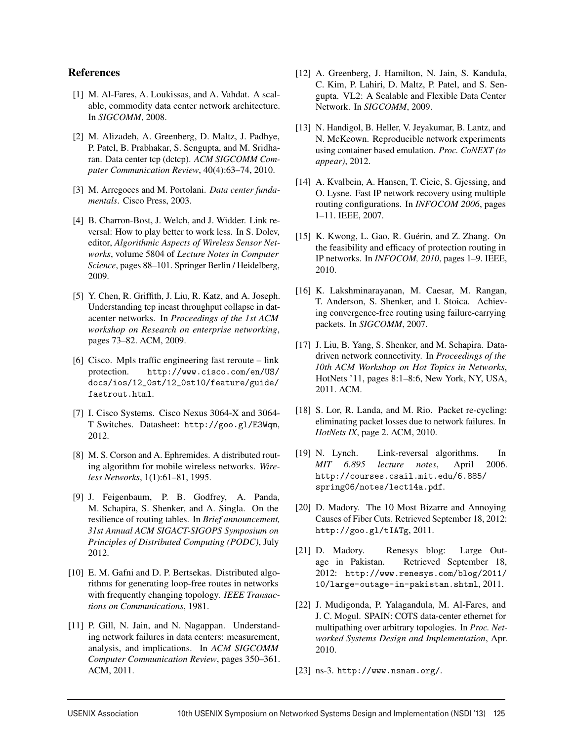#### References

- [1] M. Al-Fares, A. Loukissas, and A. Vahdat. A scalable, commodity data center network architecture. In *SIGCOMM*, 2008.
- [2] M. Alizadeh, A. Greenberg, D. Maltz, J. Padhye, P. Patel, B. Prabhakar, S. Sengupta, and M. Sridharan. Data center tcp (dctcp). *ACM SIGCOMM Computer Communication Review*, 40(4):63–74, 2010.
- [3] M. Arregoces and M. Portolani. *Data center fundamentals*. Cisco Press, 2003.
- [4] B. Charron-Bost, J. Welch, and J. Widder. Link reversal: How to play better to work less. In S. Dolev, editor, *Algorithmic Aspects of Wireless Sensor Networks*, volume 5804 of *Lecture Notes in Computer Science*, pages 88–101. Springer Berlin / Heidelberg, 2009.
- [5] Y. Chen, R. Griffith, J. Liu, R. Katz, and A. Joseph. Understanding tcp incast throughput collapse in datacenter networks. In *Proceedings of the 1st ACM workshop on Research on enterprise networking*, pages 73–82. ACM, 2009.
- [6] Cisco. Mpls traffic engineering fast reroute link protection. http://www.cisco.com/en/US/ docs/ios/12\_0st/12\_0st10/feature/guide/ fastrout.html.
- [7] I. Cisco Systems. Cisco Nexus 3064-X and 3064- T Switches. Datasheet: http://goo.gl/E3Wqm, 2012.
- [8] M. S. Corson and A. Ephremides. A distributed routing algorithm for mobile wireless networks. *Wireless Networks*, 1(1):61–81, 1995.
- [9] J. Feigenbaum, P. B. Godfrey, A. Panda, M. Schapira, S. Shenker, and A. Singla. On the resilience of routing tables. In *Brief announcement, 31st Annual ACM SIGACT-SIGOPS Symposium on Principles of Distributed Computing (PODC)*, July 2012.
- [10] E. M. Gafni and D. P. Bertsekas. Distributed algorithms for generating loop-free routes in networks with frequently changing topology. *IEEE Transactions on Communications*, 1981.
- [11] P. Gill, N. Jain, and N. Nagappan. Understanding network failures in data centers: measurement, analysis, and implications. In *ACM SIGCOMM Computer Communication Review*, pages 350–361. ACM, 2011.
- [12] A. Greenberg, J. Hamilton, N. Jain, S. Kandula, C. Kim, P. Lahiri, D. Maltz, P. Patel, and S. Sengupta. VL2: A Scalable and Flexible Data Center Network. In *SIGCOMM*, 2009.
- [13] N. Handigol, B. Heller, V. Jeyakumar, B. Lantz, and N. McKeown. Reproducible network experiments using container based emulation. *Proc. CoNEXT (to appear)*, 2012.
- [14] A. Kvalbein, A. Hansen, T. Cicic, S. Gjessing, and O. Lysne. Fast IP network recovery using multiple routing configurations. In *INFOCOM 2006*, pages 1–11. IEEE, 2007.
- [15] K. Kwong, L. Gao, R. Guérin, and Z. Zhang. On the feasibility and efficacy of protection routing in IP networks. In *INFOCOM, 2010*, pages 1–9. IEEE, 2010.
- [16] K. Lakshminarayanan, M. Caesar, M. Rangan, T. Anderson, S. Shenker, and I. Stoica. Achieving convergence-free routing using failure-carrying packets. In *SIGCOMM*, 2007.
- [17] J. Liu, B. Yang, S. Shenker, and M. Schapira. Datadriven network connectivity. In *Proceedings of the 10th ACM Workshop on Hot Topics in Networks*, HotNets '11, pages 8:1–8:6, New York, NY, USA, 2011. ACM.
- [18] S. Lor, R. Landa, and M. Rio. Packet re-cycling: eliminating packet losses due to network failures. In *HotNets IX*, page 2. ACM, 2010.
- [19] N. Lynch. Link-reversal algorithms. In *MIT 6.895 lecture notes*, April 2006. http://courses.csail.mit.edu/6.885/ spring06/notes/lect14a.pdf.
- [20] D. Madory. The 10 Most Bizarre and Annoying Causes of Fiber Cuts. Retrieved September 18, 2012: http://goo.gl/tIATg, 2011.
- [21] D. Madory. Renesys blog: Large Outage in Pakistan. Retrieved September 18, 2012: http://www.renesys.com/blog/2011/ 10/large-outage-in-pakistan.shtml, 2011.
- [22] J. Mudigonda, P. Yalagandula, M. Al-Fares, and J. C. Mogul. SPAIN: COTS data-center ethernet for multipathing over arbitrary topologies. In *Proc. Networked Systems Design and Implementation*, Apr. 2010.
- [23] ns-3. http://www.nsnam.org/.